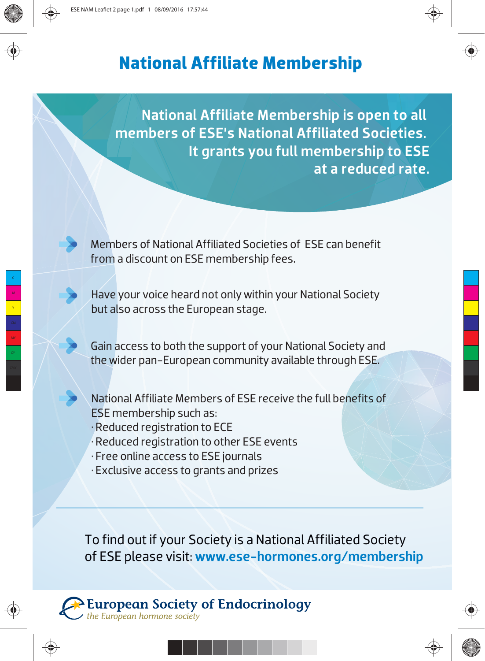## **National Affiliate Membership**

National Affiliate Membership is open to all members of ESE's National Affiliated Societies. It grants you full membership to ESE at a reduced rate.

Members of National Affiliated Societies of ESE can benefit from a discount on ESE membership fees.

Have your voice heard not only within your National Society but also across the European stage.

Gain access to both the support of your National Society and the wider pan-European community available through ESE.

National Affiliate Members of ESE receive the full benefits of ESE membership such as:

- Reduced registration to ECE
- Reduced registration to other ESE events
- Free online access to ESE journals
- Exclusive access to grants and prizes

To find out if your Society is a National Affiliated Society of ESE please visit: www.ese-hormones.org/membership